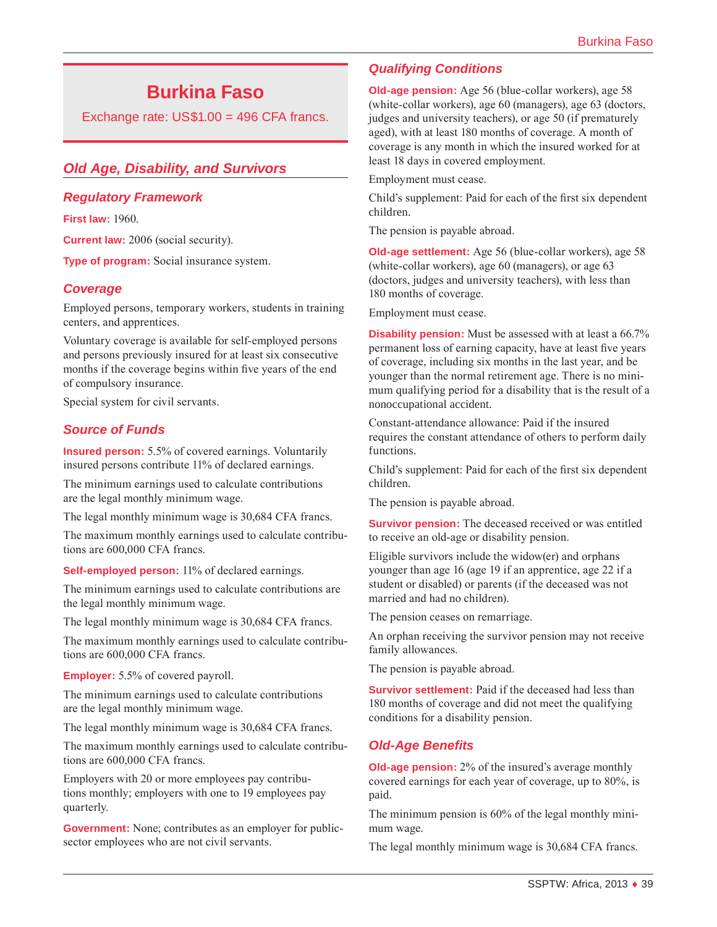# **Burkina Faso**

Exchange rate: US\$1.00 = 496 CFA francs.

# *Old Age, Disability, and Survivors*

#### *Regulatory Framework*

**First law:** 1960.

**Current law:** 2006 (social security).

**Type of program:** Social insurance system.

## *Coverage*

Employed persons, temporary workers, students in training centers, and apprentices.

Voluntary coverage is available for self-employed persons and persons previously insured for at least six consecutive months if the coverage begins within five years of the end of compulsory insurance.

Special system for civil servants.

## *Source of Funds*

**Insured person:** 5.5% of covered earnings. Voluntarily insured persons contribute 11% of declared earnings.

The minimum earnings used to calculate contributions are the legal monthly minimum wage.

The legal monthly minimum wage is 30,684 CFA francs.

The maximum monthly earnings used to calculate contributions are 600,000 CFA francs.

**Self-employed person:** 11% of declared earnings.

The minimum earnings used to calculate contributions are the legal monthly minimum wage.

The legal monthly minimum wage is 30,684 CFA francs.

The maximum monthly earnings used to calculate contributions are 600,000 CFA francs.

**Employer:** 5.5% of covered payroll.

The minimum earnings used to calculate contributions are the legal monthly minimum wage.

The legal monthly minimum wage is 30,684 CFA francs.

The maximum monthly earnings used to calculate contributions are 600,000 CFA francs.

Employers with 20 or more employees pay contributions monthly; employers with one to 19 employees pay quarterly.

**Government:** None; contributes as an employer for publicsector employees who are not civil servants.

# *Qualifying Conditions*

**Old-age pension:** Age 56 (blue-collar workers), age 58 (white-collar workers), age 60 (managers), age 63 (doctors, judges and university teachers), or age 50 (if prematurely aged), with at least 180 months of coverage. A month of coverage is any month in which the insured worked for at least 18 days in covered employment.

Employment must cease.

Child's supplement: Paid for each of the first six dependent children.

The pension is payable abroad.

**Old-age settlement:** Age 56 (blue-collar workers), age 58 (white-collar workers), age 60 (managers), or age 63 (doctors, judges and university teachers), with less than 180 months of coverage.

Employment must cease.

**Disability pension:** Must be assessed with at least a 66.7% permanent loss of earning capacity, have at least five years of coverage, including six months in the last year, and be younger than the normal retirement age. There is no minimum qualifying period for a disability that is the result of a nonoccupational accident.

Constant-attendance allowance: Paid if the insured requires the constant attendance of others to perform daily functions.

Child's supplement: Paid for each of the first six dependent children.

The pension is payable abroad.

**Survivor pension:** The deceased received or was entitled to receive an old-age or disability pension.

Eligible survivors include the widow(er) and orphans younger than age 16 (age 19 if an apprentice, age 22 if a student or disabled) or parents (if the deceased was not married and had no children).

The pension ceases on remarriage.

An orphan receiving the survivor pension may not receive family allowances.

The pension is payable abroad.

**Survivor settlement:** Paid if the deceased had less than 180 months of coverage and did not meet the qualifying conditions for a disability pension.

#### *Old-Age Benefits*

**Old-age pension:** 2% of the insured's average monthly covered earnings for each year of coverage, up to 80%, is paid.

The minimum pension is 60% of the legal monthly minimum wage.

The legal monthly minimum wage is 30,684 CFA francs.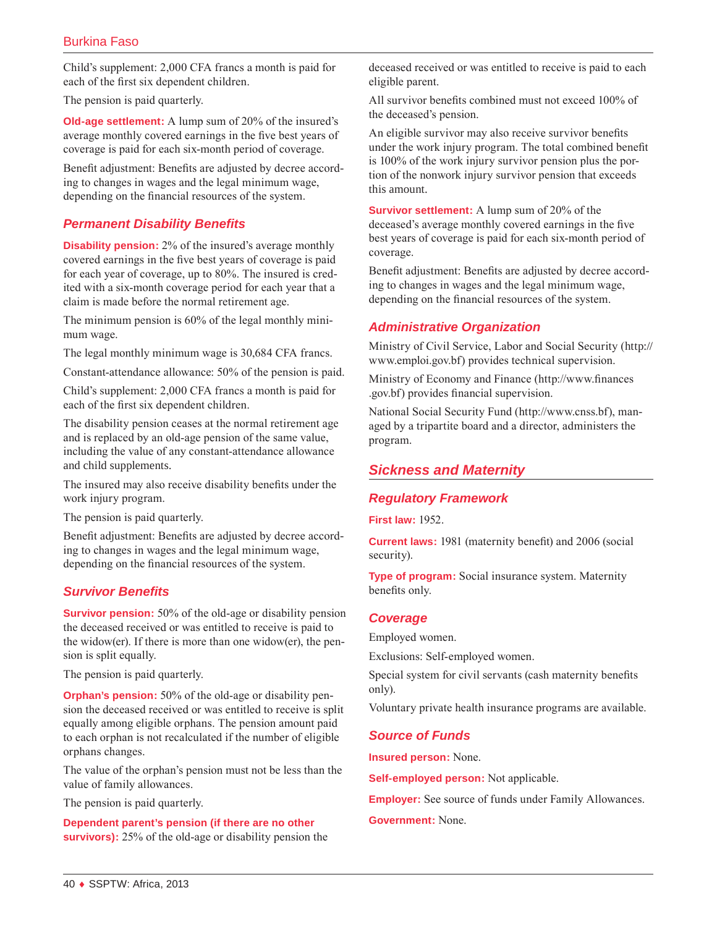Child's supplement: 2,000 CFA francs a month is paid for each of the first six dependent children.

The pension is paid quarterly.

**Old-age settlement:** A lump sum of 20% of the insured's average monthly covered earnings in the five best years of coverage is paid for each six-month period of coverage.

Benefit adjustment: Benefits are adjusted by decree according to changes in wages and the legal minimum wage, depending on the financial resources of the system.

# *Permanent Disability Benefits*

**Disability pension:** 2% of the insured's average monthly covered earnings in the five best years of coverage is paid for each year of coverage, up to 80%. The insured is credited with a six-month coverage period for each year that a claim is made before the normal retirement age.

The minimum pension is 60% of the legal monthly minimum wage.

The legal monthly minimum wage is 30,684 CFA francs.

Constant-attendance allowance: 50% of the pension is paid.

Child's supplement: 2,000 CFA francs a month is paid for each of the first six dependent children.

The disability pension ceases at the normal retirement age and is replaced by an old-age pension of the same value, including the value of any constant-attendance allowance and child supplements.

The insured may also receive disability benefits under the work injury program.

The pension is paid quarterly.

Benefit adjustment: Benefits are adjusted by decree according to changes in wages and the legal minimum wage, depending on the financial resources of the system.

# *Survivor Benefits*

**Survivor pension:** 50% of the old-age or disability pension the deceased received or was entitled to receive is paid to the widow(er). If there is more than one widow(er), the pension is split equally.

The pension is paid quarterly.

**Orphan's pension:** 50% of the old-age or disability pension the deceased received or was entitled to receive is split equally among eligible orphans. The pension amount paid to each orphan is not recalculated if the number of eligible orphans changes.

The value of the orphan's pension must not be less than the value of family allowances.

The pension is paid quarterly.

**Dependent parent's pension (if there are no other survivors):** 25% of the old-age or disability pension the deceased received or was entitled to receive is paid to each eligible parent.

All survivor benefits combined must not exceed 100% of the deceased's pension.

An eligible survivor may also receive survivor benefits under the work injury program. The total combined benefit is 100% of the work injury survivor pension plus the portion of the nonwork injury survivor pension that exceeds this amount.

**Survivor settlement:** A lump sum of 20% of the deceased's average monthly covered earnings in the five best years of coverage is paid for each six-month period of coverage.

Benefit adjustment: Benefits are adjusted by decree according to changes in wages and the legal minimum wage, depending on the financial resources of the system.

# *Administrative Organization*

Ministry of Civil Service, Labor and Social Security ([http://](http://www.emploi.gov.bf) [www.emploi.gov.bf](http://www.emploi.gov.bf)) provides technical supervision.

Ministry of Economy and Finance ([http://www.finances](http://www.finances.gov.bf) [.gov.bf\)](http://www.finances.gov.bf) provides financial supervision.

National Social Security Fund [\(http://www.cnss.bf\)](http://www.cnss.bf), managed by a tripartite board and a director, administers the program.

# *Sickness and Maternity*

#### *Regulatory Framework*

**First law:** 1952.

**Current laws:** 1981 (maternity benefit) and 2006 (social security).

**Type of program:** Social insurance system. Maternity benefits only.

#### *Coverage*

Employed women.

Exclusions: Self-employed women.

Special system for civil servants (cash maternity benefits only).

Voluntary private health insurance programs are available.

#### *Source of Funds*

**Insured person:** None.

**Self-employed person:** Not applicable.

**Employer:** See source of funds under Family Allowances.

**Government:** None.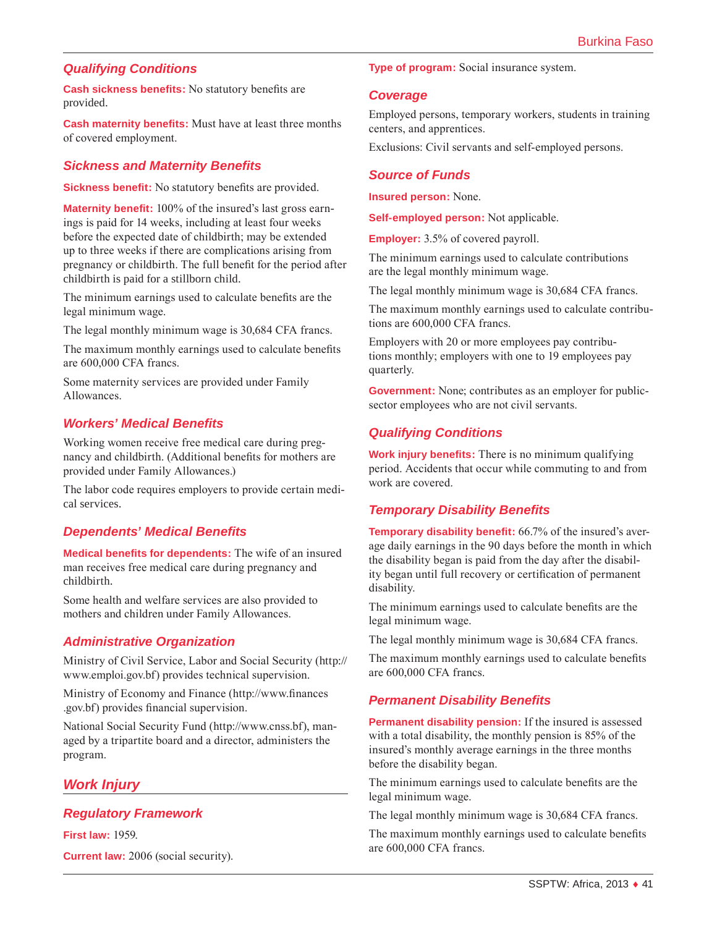# *Qualifying Conditions*

**Cash sickness benefits:** No statutory benefits are provided.

**Cash maternity benefits:** Must have at least three months of covered employment.

#### *Sickness and Maternity Benefits*

**Sickness benefit:** No statutory benefits are provided.

**Maternity benefit:** 100% of the insured's last gross earnings is paid for 14 weeks, including at least four weeks before the expected date of childbirth; may be extended up to three weeks if there are complications arising from pregnancy or childbirth. The full benefit for the period after childbirth is paid for a stillborn child.

The minimum earnings used to calculate benefits are the legal minimum wage.

The legal monthly minimum wage is 30,684 CFA francs.

The maximum monthly earnings used to calculate benefits are 600,000 CFA francs.

Some maternity services are provided under Family Allowances.

## *Workers' Medical Benefits*

Working women receive free medical care during pregnancy and childbirth. (Additional benefits for mothers are provided under Family Allowances.)

The labor code requires employers to provide certain medical services.

# *Dependents' Medical Benefits*

**Medical benefits for dependents:** The wife of an insured man receives free medical care during pregnancy and childbirth.

Some health and welfare services are also provided to mothers and children under Family Allowances.

# *Administrative Organization*

Ministry of Civil Service, Labor and Social Security ([http://](http://www.emploi.gov.bf) [www.emploi.gov.bf](http://www.emploi.gov.bf)) provides technical supervision.

Ministry of Economy and Finance ([http://www.finances](http://www.finances.gov.bf) [.gov.bf\)](http://www.finances.gov.bf) provides financial supervision.

National Social Security Fund [\(http://www.cnss.bf\)](http://www.cnss.bf), managed by a tripartite board and a director, administers the program.

# *Work Injury*

#### *Regulatory Framework*

**First law:** 1959.

**Current law:** 2006 (social security).

**Type of program:** Social insurance system.

#### *Coverage*

Employed persons, temporary workers, students in training centers, and apprentices.

Exclusions: Civil servants and self-employed persons.

#### *Source of Funds*

**Insured person:** None.

**Self-employed person:** Not applicable.

**Employer:** 3.5% of covered payroll.

The minimum earnings used to calculate contributions are the legal monthly minimum wage.

The legal monthly minimum wage is 30,684 CFA francs.

The maximum monthly earnings used to calculate contributions are 600,000 CFA francs.

Employers with 20 or more employees pay contributions monthly; employers with one to 19 employees pay quarterly.

**Government:** None; contributes as an employer for publicsector employees who are not civil servants.

# *Qualifying Conditions*

**Work injury benefits:** There is no minimum qualifying period. Accidents that occur while commuting to and from work are covered.

# *Temporary Disability Benefits*

**Temporary disability benefit:** 66.7% of the insured's average daily earnings in the 90 days before the month in which the disability began is paid from the day after the disability began until full recovery or certification of permanent disability.

The minimum earnings used to calculate benefits are the legal minimum wage.

The legal monthly minimum wage is 30,684 CFA francs.

The maximum monthly earnings used to calculate benefits are 600,000 CFA francs.

# *Permanent Disability Benefits*

**Permanent disability pension:** If the insured is assessed with a total disability, the monthly pension is 85% of the insured's monthly average earnings in the three months before the disability began.

The minimum earnings used to calculate benefits are the legal minimum wage.

The legal monthly minimum wage is 30,684 CFA francs.

The maximum monthly earnings used to calculate benefits are 600,000 CFA francs.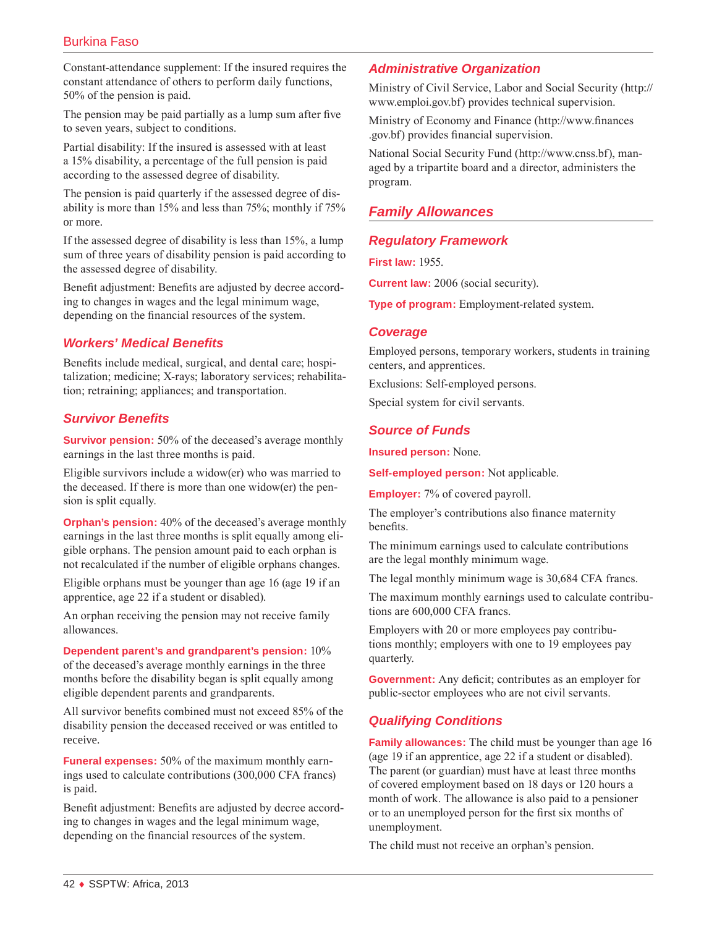# Burkina Faso

Constant-attendance supplement: If the insured requires the constant attendance of others to perform daily functions, 50% of the pension is paid.

The pension may be paid partially as a lump sum after five to seven years, subject to conditions.

Partial disability: If the insured is assessed with at least a 15% disability, a percentage of the full pension is paid according to the assessed degree of disability.

The pension is paid quarterly if the assessed degree of disability is more than 15% and less than 75%; monthly if 75% or more.

If the assessed degree of disability is less than 15%, a lump sum of three years of disability pension is paid according to the assessed degree of disability.

Benefit adjustment: Benefits are adjusted by decree according to changes in wages and the legal minimum wage, depending on the financial resources of the system.

## *Workers' Medical Benefits*

Benefits include medical, surgical, and dental care; hospitalization; medicine; X-rays; laboratory services; rehabilitation; retraining; appliances; and transportation.

#### *Survivor Benefits*

**Survivor pension:** 50% of the deceased's average monthly earnings in the last three months is paid.

Eligible survivors include a widow(er) who was married to the deceased. If there is more than one widow(er) the pension is split equally.

**Orphan's pension:** 40% of the deceased's average monthly earnings in the last three months is split equally among eligible orphans. The pension amount paid to each orphan is not recalculated if the number of eligible orphans changes.

Eligible orphans must be younger than age 16 (age 19 if an apprentice, age 22 if a student or disabled).

An orphan receiving the pension may not receive family allowances.

**Dependent parent's and grandparent's pension:** 10% of the deceased's average monthly earnings in the three months before the disability began is split equally among eligible dependent parents and grandparents.

All survivor benefits combined must not exceed 85% of the disability pension the deceased received or was entitled to receive.

**Funeral expenses:** 50% of the maximum monthly earnings used to calculate contributions (300,000 CFA francs) is paid.

Benefit adjustment: Benefits are adjusted by decree according to changes in wages and the legal minimum wage, depending on the financial resources of the system.

#### *Administrative Organization*

Ministry of Civil Service, Labor and Social Security ([http://](http://www.emploi.gov.bf) [www.emploi.gov.bf](http://www.emploi.gov.bf)) provides technical supervision.

Ministry of Economy and Finance ([http://www.finances](http://www.finances.gov.bf) [.gov.bf\)](http://www.finances.gov.bf) provides financial supervision.

National Social Security Fund [\(http://www.cnss.bf\)](http://www.cnss.bf), managed by a tripartite board and a director, administers the program.

# *Family Allowances*

#### *Regulatory Framework*

**First law:** 1955.

**Current law:** 2006 (social security).

**Type of program:** Employment-related system.

#### *Coverage*

Employed persons, temporary workers, students in training centers, and apprentices.

Exclusions: Self-employed persons.

Special system for civil servants.

#### *Source of Funds*

**Insured person:** None.

**Self-employed person:** Not applicable.

**Employer:** 7% of covered payroll.

The employer's contributions also finance maternity benefits.

The minimum earnings used to calculate contributions are the legal monthly minimum wage.

The legal monthly minimum wage is 30,684 CFA francs.

The maximum monthly earnings used to calculate contributions are 600,000 CFA francs.

Employers with 20 or more employees pay contributions monthly; employers with one to 19 employees pay quarterly.

**Government:** Any deficit; contributes as an employer for public-sector employees who are not civil servants.

# *Qualifying Conditions*

**Family allowances:** The child must be younger than age 16 (age 19 if an apprentice, age 22 if a student or disabled). The parent (or guardian) must have at least three months of covered employment based on 18 days or 120 hours a month of work. The allowance is also paid to a pensioner or to an unemployed person for the first six months of unemployment.

The child must not receive an orphan's pension.